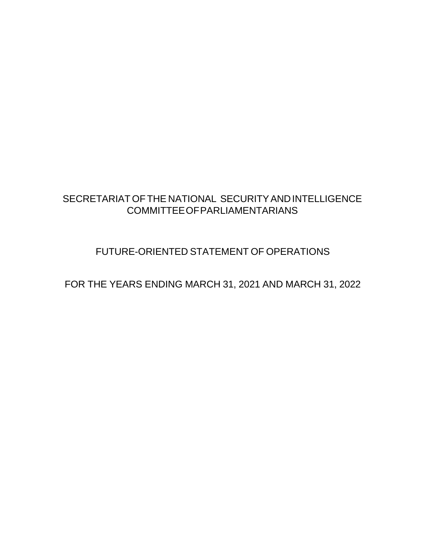### SECRETARIAT OFTHE NATIONAL SECURITYANDINTELLIGENCE COMMITTEEOFPARLIAMENTARIANS

## FUTURE-ORIENTED STATEMENT OF OPERATIONS

FOR THE YEARS ENDING MARCH 31, 2021 AND MARCH 31, 2022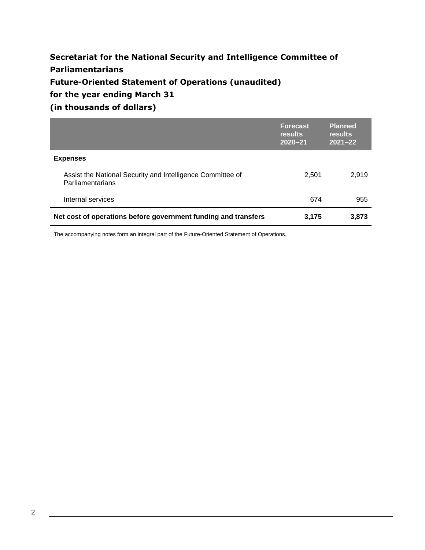### **Secretariat for the National Security and Intelligence Committee of Parliamentarians Future-Oriented Statement of Operations (unaudited) for the year ending March 31**

**(in thousands of dollars)**

|                                                                                | <b>Forecast</b><br><b>results</b><br>$2020 - 21$ | <b>Planned</b><br>results<br>$2021 - 22$ |
|--------------------------------------------------------------------------------|--------------------------------------------------|------------------------------------------|
| <b>Expenses</b>                                                                |                                                  |                                          |
| Assist the National Security and Intelligence Committee of<br>Parliamentarians | 2,501                                            | 2,919                                    |
| Internal services                                                              | 674                                              | 955                                      |
| Net cost of operations before government funding and transfers                 | 3,175                                            | 3,873                                    |

The accompanying notes form an integral part of the Future-Oriented Statement of Operations.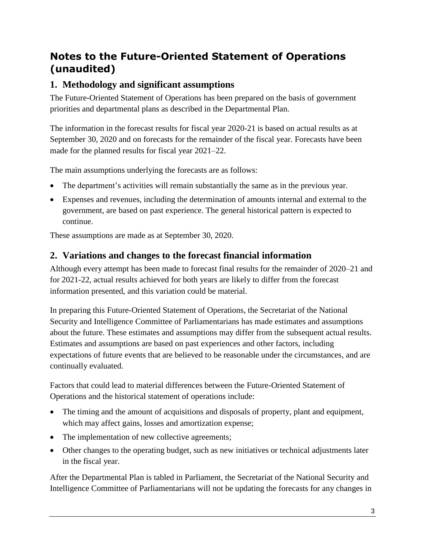# **Notes to the Future-Oriented Statement of Operations (unaudited)**

### **1. Methodology and significant assumptions**

The Future-Oriented Statement of Operations has been prepared on the basis of government priorities and departmental plans as described in the Departmental Plan.

The information in the forecast results for fiscal year 2020-21 is based on actual results as at September 30, 2020 and on forecasts for the remainder of the fiscal year. Forecasts have been made for the planned results for fiscal year 2021–22.

The main assumptions underlying the forecasts are as follows:

- The department's activities will remain substantially the same as in the previous year.
- Expenses and revenues, including the determination of amounts internal and external to the government, are based on past experience. The general historical pattern is expected to continue.

These assumptions are made as at September 30, 2020.

### **2. Variations and changes to the forecast financial information**

Although every attempt has been made to forecast final results for the remainder of 2020–21 and for 2021-22, actual results achieved for both years are likely to differ from the forecast information presented, and this variation could be material.

In preparing this Future-Oriented Statement of Operations, the Secretariat of the National Security and Intelligence Committee of Parliamentarians has made estimates and assumptions about the future. These estimates and assumptions may differ from the subsequent actual results. Estimates and assumptions are based on past experiences and other factors, including expectations of future events that are believed to be reasonable under the circumstances, and are continually evaluated.

Factors that could lead to material differences between the Future-Oriented Statement of Operations and the historical statement of operations include:

- The timing and the amount of acquisitions and disposals of property, plant and equipment, which may affect gains, losses and amortization expense;
- The implementation of new collective agreements;
- Other changes to the operating budget, such as new initiatives or technical adjustments later in the fiscal year.

After the Departmental Plan is tabled in Parliament, the Secretariat of the National Security and Intelligence Committee of Parliamentarians will not be updating the forecasts for any changes in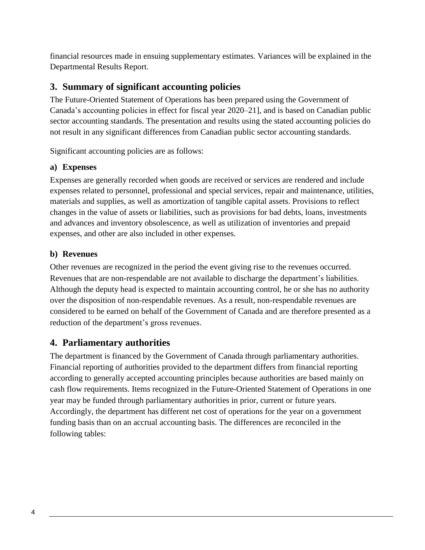financial resources made in ensuing supplementary estimates. Variances will be explained in the Departmental Results Report.

### **3. Summary of significant accounting policies**

The Future-Oriented Statement of Operations has been prepared using the Government of Canada's accounting policies in effect for fiscal year 2020–21], and is based on Canadian public sector accounting standards. The presentation and results using the stated accounting policies do not result in any significant differences from Canadian public sector accounting standards.

Significant accounting policies are as follows:

#### **a) Expenses**

Expenses are generally recorded when goods are received or services are rendered and include expenses related to personnel, professional and special services, repair and maintenance, utilities, materials and supplies, as well as amortization of tangible capital assets. Provisions to reflect changes in the value of assets or liabilities, such as provisions for bad debts, loans, investments and advances and inventory obsolescence, as well as utilization of inventories and prepaid expenses, and other are also included in other expenses.

#### **b) Revenues**

Other revenues are recognized in the period the event giving rise to the revenues occurred. Revenues that are non-respendable are not available to discharge the department's liabilities. Although the deputy head is expected to maintain accounting control, he or she has no authority over the disposition of non-respendable revenues. As a result, non-respendable revenues are considered to be earned on behalf of the Government of Canada and are therefore presented as a reduction of the department's gross revenues.

### **4. Parliamentary authorities**

The department is financed by the Government of Canada through parliamentary authorities. Financial reporting of authorities provided to the department differs from financial reporting according to generally accepted accounting principles because authorities are based mainly on cash flow requirements. Items recognized in the Future-Oriented Statement of Operations in one year may be funded through parliamentary authorities in prior, current or future years. Accordingly, the department has different net cost of operations for the year on a government funding basis than on an accrual accounting basis. The differences are reconciled in the following tables: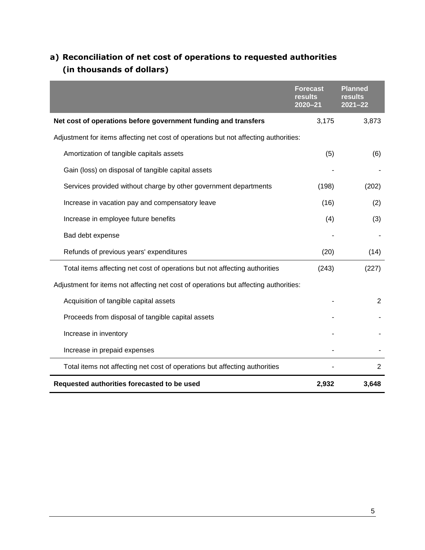### **a) Reconciliation of net cost of operations to requested authorities (in thousands of dollars)**

|                                                                                      | <b>Forecast</b><br>results<br>$2020 - 21$ | <b>Planned</b><br>results<br>$2021 - 22$ |
|--------------------------------------------------------------------------------------|-------------------------------------------|------------------------------------------|
| Net cost of operations before government funding and transfers                       | 3,175                                     | 3,873                                    |
| Adjustment for items affecting net cost of operations but not affecting authorities: |                                           |                                          |
| Amortization of tangible capitals assets                                             | (5)                                       | (6)                                      |
| Gain (loss) on disposal of tangible capital assets                                   |                                           |                                          |
| Services provided without charge by other government departments                     | (198)                                     | (202)                                    |
| Increase in vacation pay and compensatory leave                                      | (16)                                      | (2)                                      |
| Increase in employee future benefits                                                 | (4)                                       | (3)                                      |
| Bad debt expense                                                                     |                                           |                                          |
| Refunds of previous years' expenditures                                              | (20)                                      | (14)                                     |
| Total items affecting net cost of operations but not affecting authorities           | (243)                                     | (227)                                    |
| Adjustment for items not affecting net cost of operations but affecting authorities: |                                           |                                          |
| Acquisition of tangible capital assets                                               |                                           | $\overline{2}$                           |
| Proceeds from disposal of tangible capital assets                                    |                                           |                                          |
| Increase in inventory                                                                |                                           |                                          |
| Increase in prepaid expenses                                                         |                                           |                                          |
| Total items not affecting net cost of operations but affecting authorities           |                                           | $\overline{c}$                           |
| Requested authorities forecasted to be used                                          | 2,932                                     | 3,648                                    |